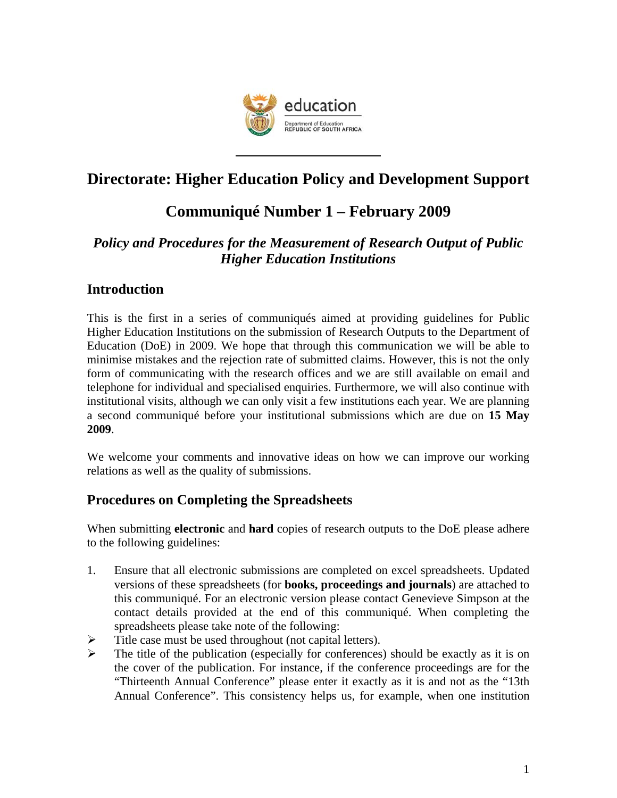

# **Directorate: Higher Education Policy and Development Support**

# **Communiqué Number 1 – February 2009**

# *Policy and Procedures for the Measurement of Research Output of Public Higher Education Institutions*

## **Introduction**

This is the first in a series of communiqués aimed at providing guidelines for Public Higher Education Institutions on the submission of Research Outputs to the Department of Education (DoE) in 2009. We hope that through this communication we will be able to minimise mistakes and the rejection rate of submitted claims. However, this is not the only form of communicating with the research offices and we are still available on email and telephone for individual and specialised enquiries. Furthermore, we will also continue with institutional visits, although we can only visit a few institutions each year. We are planning a second communiqué before your institutional submissions which are due on **15 May 2009**.

We welcome your comments and innovative ideas on how we can improve our working relations as well as the quality of submissions.

## **Procedures on Completing the Spreadsheets**

When submitting **electronic** and **hard** copies of research outputs to the DoE please adhere to the following guidelines:

- 1. Ensure that all electronic submissions are completed on excel spreadsheets. Updated versions of these spreadsheets (for **books, proceedings and journals**) are attached to this communiqué. For an electronic version please contact Genevieve Simpson at the contact details provided at the end of this communiqué. When completing the spreadsheets please take note of the following:
- $\triangleright$  Title case must be used throughout (not capital letters).
- $\triangleright$  The title of the publication (especially for conferences) should be exactly as it is on the cover of the publication. For instance, if the conference proceedings are for the "Thirteenth Annual Conference" please enter it exactly as it is and not as the "13th Annual Conference". This consistency helps us, for example, when one institution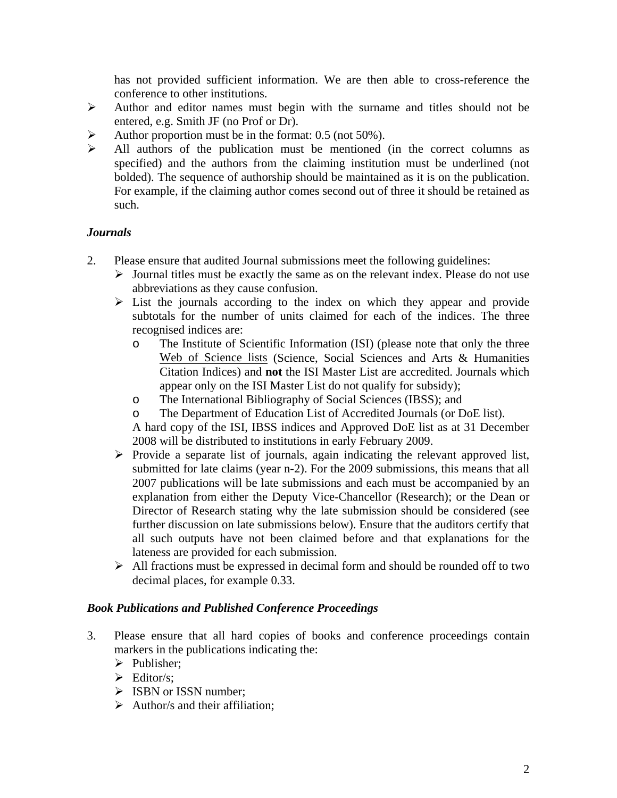has not provided sufficient information. We are then able to cross-reference the conference to other institutions.

- ¾ Author and editor names must begin with the surname and titles should not be entered, e.g. Smith JF (no Prof or Dr).
- $\blacktriangleright$  Author proportion must be in the format: 0.5 (not 50%).
- $\triangleright$  All authors of the publication must be mentioned (in the correct columns as specified) and the authors from the claiming institution must be underlined (not bolded). The sequence of authorship should be maintained as it is on the publication. For example, if the claiming author comes second out of three it should be retained as such.

### *Journals*

- 2. Please ensure that audited Journal submissions meet the following guidelines:
	- $\triangleright$  Journal titles must be exactly the same as on the relevant index. Please do not use abbreviations as they cause confusion.
	- $\triangleright$  List the journals according to the index on which they appear and provide subtotals for the number of units claimed for each of the indices. The three recognised indices are:
		- o The Institute of Scientific Information (ISI) (please note that only the three Web of Science lists (Science, Social Sciences and Arts & Humanities Citation Indices) and **not** the ISI Master List are accredited. Journals which appear only on the ISI Master List do not qualify for subsidy);
		- o The International Bibliography of Social Sciences (IBSS); and
		- o The Department of Education List of Accredited Journals (or DoE list).

A hard copy of the ISI, IBSS indices and Approved DoE list as at 31 December 2008 will be distributed to institutions in early February 2009.

- $\triangleright$  Provide a separate list of journals, again indicating the relevant approved list, submitted for late claims (year n-2). For the 2009 submissions, this means that all 2007 publications will be late submissions and each must be accompanied by an explanation from either the Deputy Vice-Chancellor (Research); or the Dean or Director of Research stating why the late submission should be considered (see further discussion on late submissions below). Ensure that the auditors certify that all such outputs have not been claimed before and that explanations for the lateness are provided for each submission.
- $\triangleright$  All fractions must be expressed in decimal form and should be rounded off to two decimal places, for example 0.33.

#### *Book Publications and Published Conference Proceedings*

- 3. Please ensure that all hard copies of books and conference proceedings contain markers in the publications indicating the:
	- $\triangleright$  Publisher;
	- $\triangleright$  Editor/s:
	- $\triangleright$  ISBN or ISSN number:
	- $\triangleright$  Author/s and their affiliation;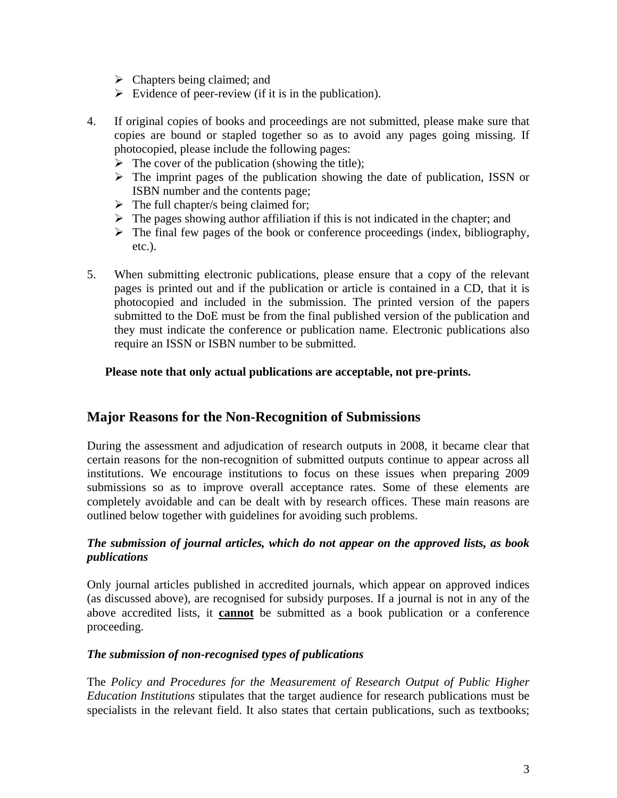- $\triangleright$  Chapters being claimed; and
- $\triangleright$  Evidence of peer-review (if it is in the publication).
- 4. If original copies of books and proceedings are not submitted, please make sure that copies are bound or stapled together so as to avoid any pages going missing. If photocopied, please include the following pages:
	- $\triangleright$  The cover of the publication (showing the title);
	- $\triangleright$  The imprint pages of the publication showing the date of publication, ISSN or ISBN number and the contents page;
	- $\triangleright$  The full chapter/s being claimed for;
	- $\triangleright$  The pages showing author affiliation if this is not indicated in the chapter; and
	- $\triangleright$  The final few pages of the book or conference proceedings (index, bibliography, etc.).
- 5. When submitting electronic publications, please ensure that a copy of the relevant pages is printed out and if the publication or article is contained in a CD, that it is photocopied and included in the submission. The printed version of the papers submitted to the DoE must be from the final published version of the publication and they must indicate the conference or publication name. Electronic publications also require an ISSN or ISBN number to be submitted.

#### **Please note that only actual publications are acceptable, not pre-prints.**

### **Major Reasons for the Non-Recognition of Submissions**

During the assessment and adjudication of research outputs in 2008, it became clear that certain reasons for the non-recognition of submitted outputs continue to appear across all institutions. We encourage institutions to focus on these issues when preparing 2009 submissions so as to improve overall acceptance rates. Some of these elements are completely avoidable and can be dealt with by research offices. These main reasons are outlined below together with guidelines for avoiding such problems.

#### *The submission of journal articles, which do not appear on the approved lists, as book publications*

Only journal articles published in accredited journals, which appear on approved indices (as discussed above), are recognised for subsidy purposes. If a journal is not in any of the above accredited lists, it **cannot** be submitted as a book publication or a conference proceeding.

#### *The submission of non-recognised types of publications*

The *Policy and Procedures for the Measurement of Research Output of Public Higher Education Institutions* stipulates that the target audience for research publications must be specialists in the relevant field. It also states that certain publications, such as textbooks;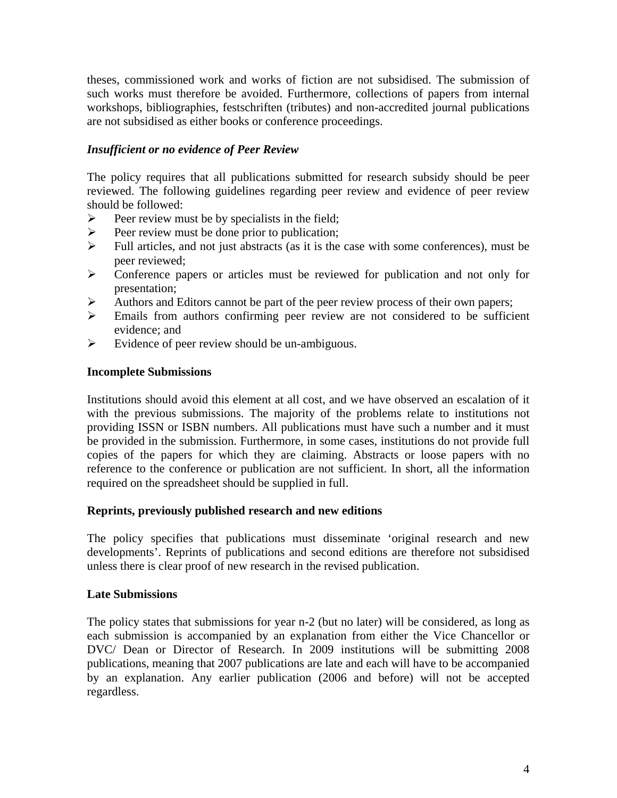theses, commissioned work and works of fiction are not subsidised. The submission of such works must therefore be avoided. Furthermore, collections of papers from internal workshops, bibliographies, festschriften (tributes) and non-accredited journal publications are not subsidised as either books or conference proceedings.

#### *Insufficient or no evidence of Peer Review*

The policy requires that all publications submitted for research subsidy should be peer reviewed. The following guidelines regarding peer review and evidence of peer review should be followed:

- $\triangleright$  Peer review must be by specialists in the field;
- $\triangleright$  Peer review must be done prior to publication;
- $\triangleright$  Full articles, and not just abstracts (as it is the case with some conferences), must be peer reviewed;
- ¾ Conference papers or articles must be reviewed for publication and not only for presentation;
- $\triangleright$  Authors and Editors cannot be part of the peer review process of their own papers;
- $\triangleright$  Emails from authors confirming peer review are not considered to be sufficient evidence; and
- $\triangleright$  Evidence of peer review should be un-ambiguous.

#### **Incomplete Submissions**

Institutions should avoid this element at all cost, and we have observed an escalation of it with the previous submissions. The majority of the problems relate to institutions not providing ISSN or ISBN numbers. All publications must have such a number and it must be provided in the submission. Furthermore, in some cases, institutions do not provide full copies of the papers for which they are claiming. Abstracts or loose papers with no reference to the conference or publication are not sufficient. In short, all the information required on the spreadsheet should be supplied in full.

#### **Reprints, previously published research and new editions**

The policy specifies that publications must disseminate 'original research and new developments'. Reprints of publications and second editions are therefore not subsidised unless there is clear proof of new research in the revised publication.

#### **Late Submissions**

The policy states that submissions for year n-2 (but no later) will be considered, as long as each submission is accompanied by an explanation from either the Vice Chancellor or DVC/ Dean or Director of Research. In 2009 institutions will be submitting 2008 publications, meaning that 2007 publications are late and each will have to be accompanied by an explanation. Any earlier publication (2006 and before) will not be accepted regardless.